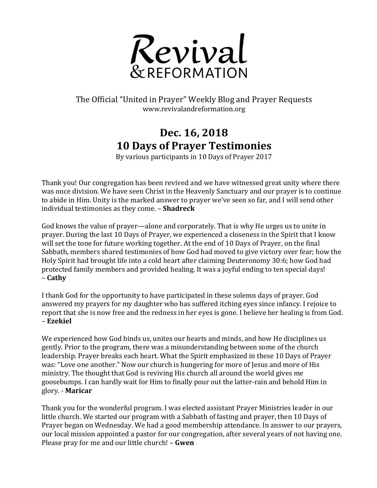

## The Official "United in Prayer" Weekly Blog and Prayer Requests www.revivalandreformation.org

## **Dec. 16, 2018 10 Days of Prayer Testimonies**

By various participants in 10 Days of Prayer 2017

Thank you! Our congregation has been revived and we have witnessed great unity where there was once division. We have seen Christ in the Heavenly Sanctuary and our prayer is to continue to abide in Him. Unity is the marked answer to prayer we've seen so far, and I will send other individual testimonies as they come. - **Shadreck** 

God knows the value of prayer—alone and corporately. That is why He urges us to unite in prayer. During the last 10 Days of Prayer, we experienced a closeness in the Spirit that I know will set the tone for future working together. At the end of 10 Days of Prayer, on the final Sabbath, members shared testimonies of how God had moved to give victory over fear; how the Holy Spirit had brought life into a cold heart after claiming Deuteronomy 30:6; how God had protected family members and provided healing. It was a joyful ending to ten special days! – **Cathy**

I thank God for the opportunity to have participated in these solemn days of prayer. God answered my prayers for my daughter who has suffered itching eyes since infancy. I rejoice to report that she is now free and the redness in her eyes is gone. I believe her healing is from God. – **Ezekiel**

We experienced how God binds us, unites our hearts and minds, and how He disciplines us gently. Prior to the program, there was a misunderstanding between some of the church leadership. Prayer breaks each heart. What the Spirit emphasized in these 10 Days of Prayer was: "Love one another." Now our church is hungering for more of Jesus and more of His ministry. The thought that God is reviving His church all around the world gives me goosebumps. I can hardly wait for Him to finally pour out the latter-rain and behold Him in glory. - **Maricar**

Thank you for the wonderful program. I was elected assistant Prayer Ministries leader in our little church. We started our program with a Sabbath of fasting and prayer, then 10 Days of Prayer began on Wednesday. We had a good membership attendance. In answer to our prayers, our local mission appointed a pastor for our congregation, after several years of not having one. Please pray for me and our little church! - **Gwen**